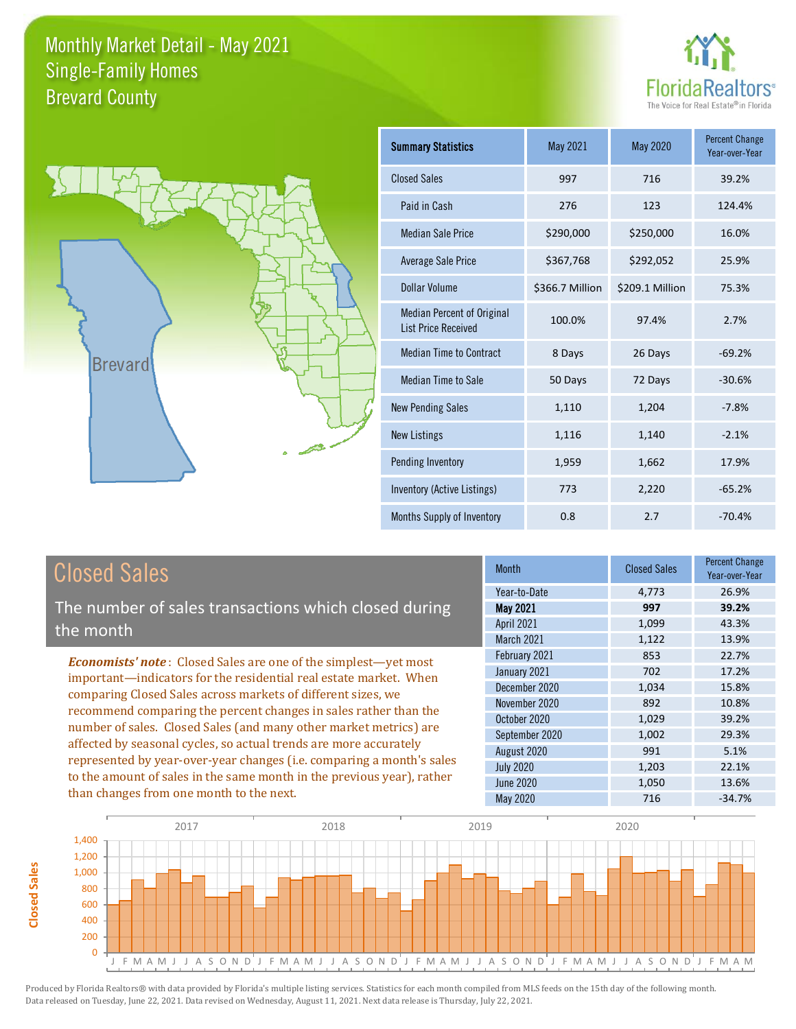



| <b>Summary Statistics</b>                                       | May 2021        | May 2020        | <b>Percent Change</b><br>Year-over-Year |
|-----------------------------------------------------------------|-----------------|-----------------|-----------------------------------------|
| <b>Closed Sales</b>                                             | 997             | 716             | 39.2%                                   |
| Paid in Cash                                                    | 276             | 123             | 124.4%                                  |
| Median Sale Price                                               | \$290,000       | \$250,000       | 16.0%                                   |
| <b>Average Sale Price</b>                                       | \$367,768       | \$292,052       | 25.9%                                   |
| Dollar Volume                                                   | \$366.7 Million | \$209.1 Million | 75.3%                                   |
| <b>Median Percent of Original</b><br><b>List Price Received</b> | 100.0%          | 97.4%           | 2.7%                                    |
| <b>Median Time to Contract</b>                                  | 8 Days          | 26 Days         | $-69.2%$                                |
| <b>Median Time to Sale</b>                                      | 50 Days         | 72 Days         | $-30.6%$                                |
| <b>New Pending Sales</b>                                        | 1,110           | 1,204           | $-7.8%$                                 |
| <b>New Listings</b>                                             | 1,116           | 1,140           | $-2.1%$                                 |
| Pending Inventory                                               | 1,959           | 1,662           | 17.9%                                   |
| Inventory (Active Listings)                                     | 773             | 2,220           | $-65.2%$                                |
| Months Supply of Inventory                                      | 0.8             | 2.7             | $-70.4%$                                |

# Closed Sales

The number of sales transactions which closed during the month

*Economists' note* : Closed Sales are one of the simplest—yet most important—indicators for the residential real estate market. When comparing Closed Sales across markets of different sizes, we recommend comparing the percent changes in sales rather than the number of sales. Closed Sales (and many other market metrics) are affected by seasonal cycles, so actual trends are more accurately represented by year-over-year changes (i.e. comparing a month's sales to the amount of sales in the same month in the previous year), rather than changes from one month to the next.

| <b>Month</b>      | <b>Closed Sales</b> | <b>Percent Change</b><br>Year-over-Year |
|-------------------|---------------------|-----------------------------------------|
| Year-to-Date      | 4,773               | 26.9%                                   |
| <b>May 2021</b>   | 997                 | 39.2%                                   |
| <b>April 2021</b> | 1,099               | 43.3%                                   |
| March 2021        | 1,122               | 13.9%                                   |
| February 2021     | 853                 | 22.7%                                   |
| January 2021      | 702                 | 17.2%                                   |
| December 2020     | 1,034               | 15.8%                                   |
| November 2020     | 892                 | 10.8%                                   |
| October 2020      | 1,029               | 39.2%                                   |
| September 2020    | 1,002               | 29.3%                                   |
| August 2020       | 991                 | 5.1%                                    |
| <b>July 2020</b>  | 1,203               | 22.1%                                   |
| <b>June 2020</b>  | 1,050               | 13.6%                                   |
| <b>May 2020</b>   | 716                 | $-34.7%$                                |

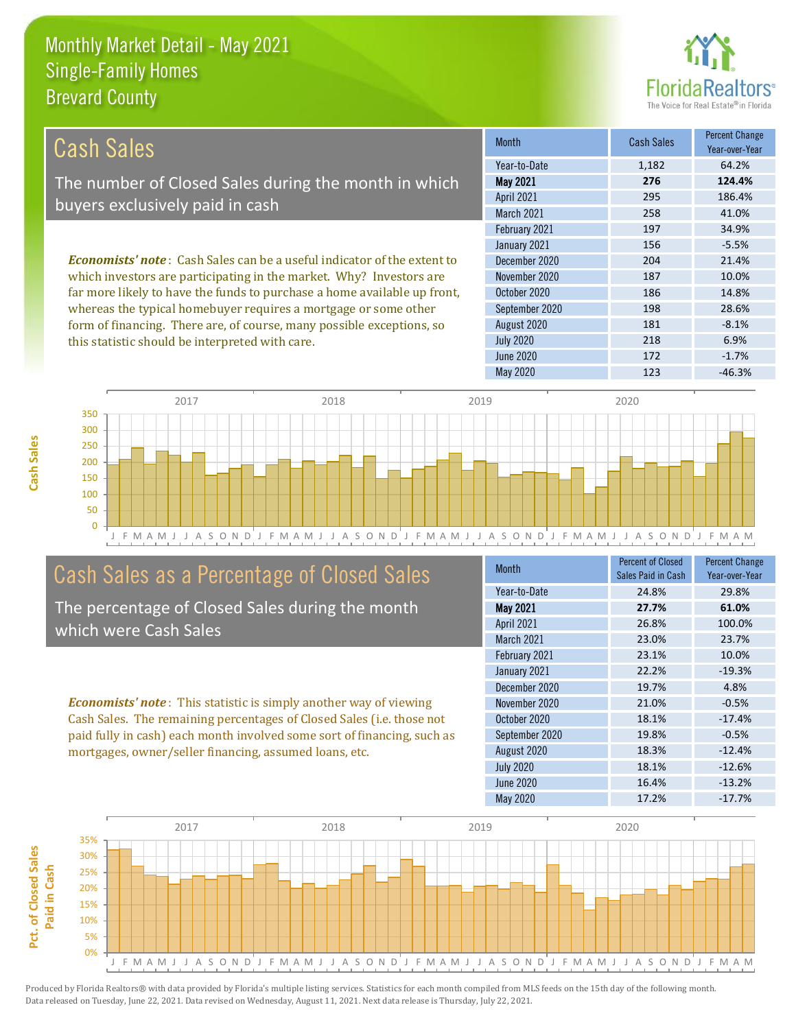this statistic should be interpreted with care.



218 6.9%

| Cash Sales                                                                      | <b>Month</b>      | <b>Cash Sales</b> | <b>Percent Change</b><br>Year-over-Year |
|---------------------------------------------------------------------------------|-------------------|-------------------|-----------------------------------------|
|                                                                                 | Year-to-Date      | 1,182             | 64.2%                                   |
| The number of Closed Sales during the month in which                            | <b>May 2021</b>   | 276               | 124.4%                                  |
| buyers exclusively paid in cash                                                 | <b>April 2021</b> | 295               | 186.4%                                  |
|                                                                                 | <b>March 2021</b> | 258               | 41.0%                                   |
|                                                                                 | February 2021     | 197               | 34.9%                                   |
|                                                                                 | January 2021      | 156               | $-5.5%$                                 |
| <b>Economists' note</b> : Cash Sales can be a useful indicator of the extent to | December 2020     | 204               | 21.4%                                   |
| which investors are participating in the market. Why? Investors are             | November 2020     | 187               | 10.0%                                   |
| far more likely to have the funds to purchase a home available up front,        | October 2020      | 186               | 14.8%                                   |
| whereas the typical homebuyer requires a mortgage or some other                 | September 2020    | 198               | 28.6%                                   |
| form of financing. There are, of course, many possible exceptions, so           | August 2020       | 181               | $-8.1%$                                 |

J F M A M J J A S O N D J F M A M J J A S O N D J F M A M J J A S O N D J F M A M J J A S O N D J F M A M 0 50 100 150 200 250 300 350 2017 2018 2019 2020

## Cash Sales as a Percentage of Closed Sales

The percentage of Closed Sales during the month which were Cash Sales

*Economists' note* : This statistic is simply another way of viewing Cash Sales. The remaining percentages of Closed Sales (i.e. those not paid fully in cash) each month involved some sort of financing, such as mortgages, owner/seller financing, assumed loans, etc.

| <b>Month</b>     | Percent of Closed<br>Sales Paid in Cash | <b>Percent Change</b><br>Year-over-Year |
|------------------|-----------------------------------------|-----------------------------------------|
| Year-to-Date     | 24.8%                                   | 29.8%                                   |
| <b>May 2021</b>  | 27.7%                                   | 61.0%                                   |
| April 2021       | 26.8%                                   | 100.0%                                  |
| March 2021       | 23.0%                                   | 23.7%                                   |
| February 2021    | 23.1%                                   | 10.0%                                   |
| January 2021     | 22.2%                                   | $-19.3%$                                |
| December 2020    | 19.7%                                   | 4.8%                                    |
| November 2020    | 21.0%                                   | $-0.5%$                                 |
| October 2020     | 18.1%                                   | $-17.4%$                                |
| September 2020   | 19.8%                                   | $-0.5%$                                 |
| August 2020      | 18.3%                                   | $-12.4%$                                |
| <b>July 2020</b> | 18.1%                                   | $-12.6%$                                |
| June 2020        | 16.4%                                   | $-13.2%$                                |
| May 2020         | 17.2%                                   | $-17.7%$                                |

May 2020 123 46.3%

June 2020 **172** -1.7%

July 2020

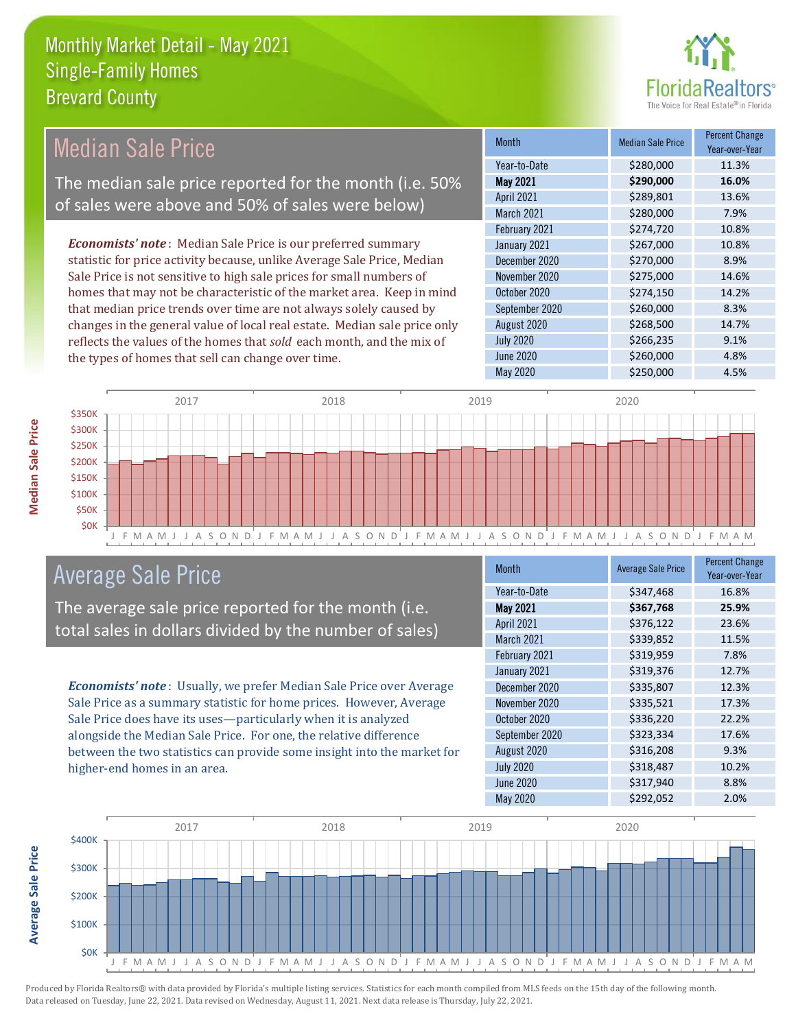

Year-over-Year

#### Month Median Sale Price Percent Change May 2021 **\$290,000 16.0%** Year-to-Date \$280,000 11.3% October 2020 \$274,150 14.2% April 2021 **\$289,801** 13.6% March 2021 \$280,000 7.9% December 2020 **\$270,000** \$2.9% November 2020 \$275,000 14.6% February 2021 **\$274,720** 10.8% January 2021 **\$267,000** 10.8% September 2020 \$260,000 8.3% August 2020 \$268,500 14.7% July 2020 \$266,235 9.1% June 2020 **\$260,000** \$260,000 4.8% *Economists' note* : Median Sale Price is our preferred summary statistic for price activity because, unlike Average Sale Price, Median Sale Price is not sensitive to high sale prices for small numbers of homes that may not be characteristic of the market area. Keep in mind that median price trends over time are not always solely caused by changes in the general value of local real estate. Median sale price only reflects the values of the homes that *sold* each month, and the mix of the types of homes that sell can change over time. Median Sale Price The median sale price reported for the month (i.e. 50% of sales were above and 50% of sales were below)



#### Average Sale Price

The average sale price reported for the month (i.e. total sales in dollars divided by the number of sales)

*Economists' note* : Usually, we prefer Median Sale Price over Average Sale Price as a summary statistic for home prices. However, Average Sale Price does have its uses—particularly when it is analyzed alongside the Median Sale Price. For one, the relative difference between the two statistics can provide some insight into the market for higher-end homes in an area.

| <b>Month</b>      | <b>Average Sale Price</b> | <b>Percent Change</b><br>Year-over-Year |
|-------------------|---------------------------|-----------------------------------------|
| Year-to-Date      | \$347,468                 | 16.8%                                   |
| <b>May 2021</b>   | \$367,768                 | 25.9%                                   |
| <b>April 2021</b> | \$376,122                 | 23.6%                                   |
| <b>March 2021</b> | \$339,852                 | 11.5%                                   |
| February 2021     | \$319,959                 | 7.8%                                    |
| January 2021      | \$319,376                 | 12.7%                                   |
| December 2020     | \$335,807                 | 12.3%                                   |
| November 2020     | \$335,521                 | 17.3%                                   |
| October 2020      | \$336,220                 | 22.2%                                   |
| September 2020    | \$323,334                 | 17.6%                                   |
| August 2020       | \$316,208                 | 9.3%                                    |
| <b>July 2020</b>  | \$318,487                 | 10.2%                                   |
| <b>June 2020</b>  | \$317,940                 | 8.8%                                    |
| May 2020          | \$292,052                 | 2.0%                                    |

May 2020 \$250,000 \$250,000 4.5%



Produced by Florida Realtors® with data provided by Florida's multiple listing services. Statistics for each month compiled from MLS feeds on the 15th day of the following month. Data released on Tuesday, June 22, 2021. Data revised on Wednesday, August 11, 2021. Next data release is Thursday, July 22, 2021.

**Average Sale Price**

**Average Sale Price**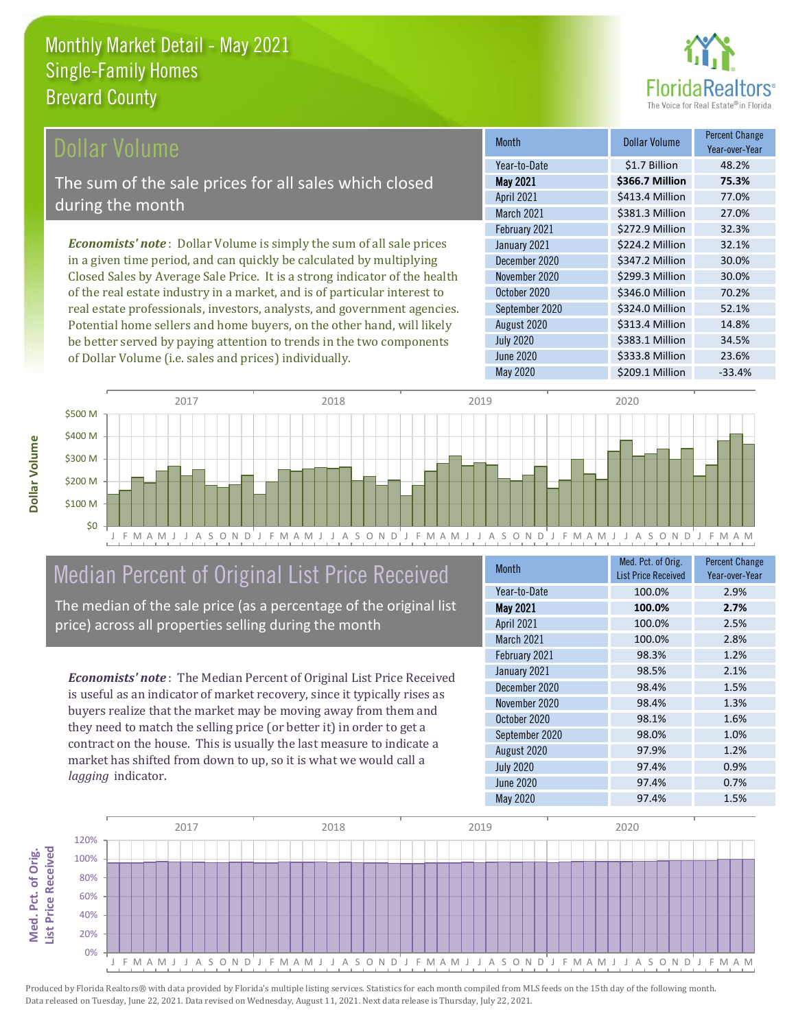

#### **Ollar Volume**

The sum of the sale prices for all sales which closed during the month

*Economists' note* : Dollar Volume is simply the sum of all sale prices in a given time period, and can quickly be calculated by multiplying Closed Sales by Average Sale Price. It is a strong indicator of the health of the real estate industry in a market, and is of particular interest to real estate professionals, investors, analysts, and government agencies. Potential home sellers and home buyers, on the other hand, will likely be better served by paying attention to trends in the two components of Dollar Volume (i.e. sales and prices) individually.

| <b>Month</b>      | Dollar Volume   | <b>Percent Change</b><br>Year-over-Year |
|-------------------|-----------------|-----------------------------------------|
| Year-to-Date      | \$1.7 Billion   | 48.2%                                   |
| <b>May 2021</b>   | \$366.7 Million | 75.3%                                   |
| <b>April 2021</b> | \$413.4 Million | 77.0%                                   |
| March 2021        | \$381.3 Million | 27.0%                                   |
| February 2021     | \$272.9 Million | 32.3%                                   |
| January 2021      | \$224.2 Million | 32.1%                                   |
| December 2020     | \$347.2 Million | 30.0%                                   |
| November 2020     | \$299.3 Million | 30.0%                                   |
| October 2020      | \$346.0 Million | 70.2%                                   |
| September 2020    | \$324.0 Million | 52.1%                                   |
| August 2020       | \$313.4 Million | 14.8%                                   |
| <b>July 2020</b>  | \$383.1 Million | 34.5%                                   |
| June 2020         | \$333.8 Million | 23.6%                                   |
| May 2020          | \$209.1 Million | $-33.4%$                                |



# Median Percent of Original List Price Received

The median of the sale price (as a percentage of the original list price) across all properties selling during the month

*Economists' note* : The Median Percent of Original List Price Received is useful as an indicator of market recovery, since it typically rises as buyers realize that the market may be moving away from them and they need to match the selling price (or better it) in order to get a contract on the house. This is usually the last measure to indicate a market has shifted from down to up, so it is what we would call a *lagging* indicator.

| <b>Month</b>      | Med. Pct. of Orig.<br><b>List Price Received</b> | <b>Percent Change</b><br>Year-over-Year |
|-------------------|--------------------------------------------------|-----------------------------------------|
| Year-to-Date      | 100.0%                                           | 2.9%                                    |
| <b>May 2021</b>   | 100.0%                                           | 2.7%                                    |
| April 2021        | 100.0%                                           | 2.5%                                    |
| <b>March 2021</b> | 100.0%                                           | 2.8%                                    |
| February 2021     | 98.3%                                            | 1.2%                                    |
| January 2021      | 98.5%                                            | 2.1%                                    |
| December 2020     | 98.4%                                            | 1.5%                                    |
| November 2020     | 98.4%                                            | 1.3%                                    |
| October 2020      | 98.1%                                            | 1.6%                                    |
| September 2020    | 98.0%                                            | 1.0%                                    |
| August 2020       | 97.9%                                            | 1.2%                                    |
| <b>July 2020</b>  | 97.4%                                            | 0.9%                                    |
| June 2020         | 97.4%                                            | 0.7%                                    |
| May 2020          | 97.4%                                            | 1.5%                                    |

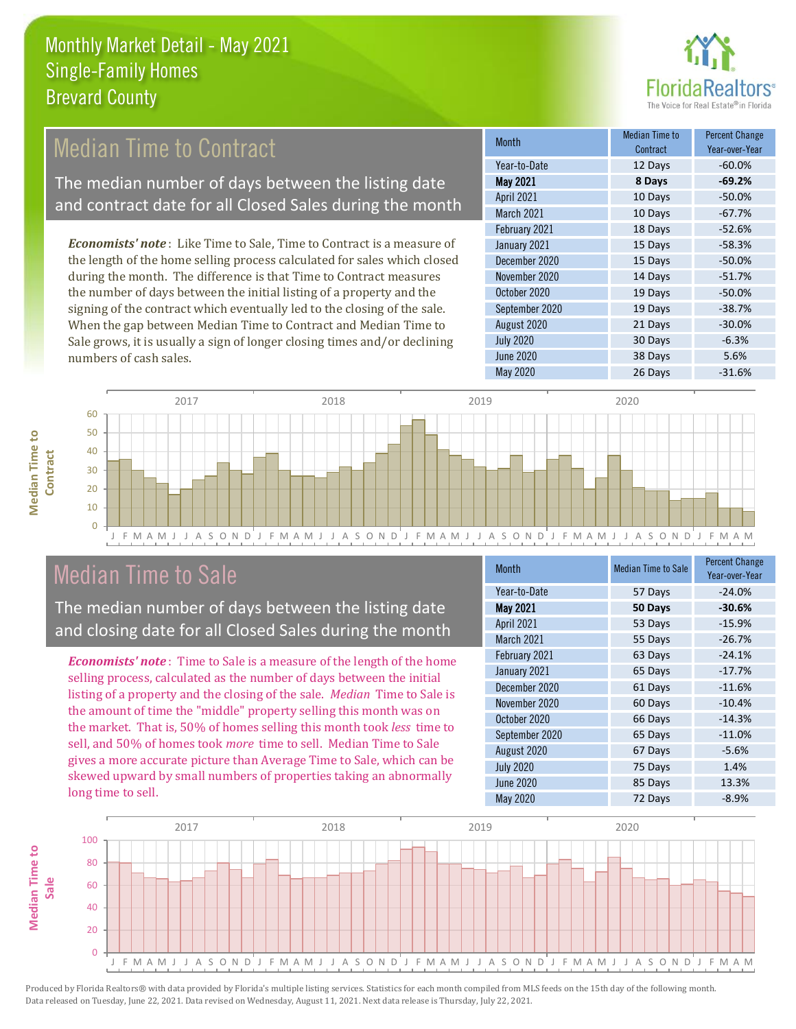

### Median Time to Contract

The median number of days between the listing date and contract date for all Closed Sales during the month

*Economists' note* : Like Time to Sale, Time to Contract is a measure of the length of the home selling process calculated for sales which closed during the month. The difference is that Time to Contract measures the number of days between the initial listing of a property and the signing of the contract which eventually led to the closing of the sale. When the gap between Median Time to Contract and Median Time to Sale grows, it is usually a sign of longer closing times and/or declining numbers of cash sales.

| <b>Month</b>     | Median Time to<br>Contract | <b>Percent Change</b><br>Year-over-Year |
|------------------|----------------------------|-----------------------------------------|
| Year-to-Date     | 12 Days                    | $-60.0%$                                |
| <b>May 2021</b>  | 8 Days                     | $-69.2%$                                |
| April 2021       | 10 Days                    | $-50.0%$                                |
| March 2021       | 10 Days                    | $-67.7%$                                |
| February 2021    | 18 Days                    | $-52.6%$                                |
| January 2021     | 15 Days                    | $-58.3%$                                |
| December 2020    | 15 Days                    | $-50.0%$                                |
| November 2020    | 14 Days                    | $-51.7%$                                |
| October 2020     | 19 Days                    | $-50.0%$                                |
| September 2020   | 19 Days                    | $-38.7%$                                |
| August 2020      | 21 Days                    | $-30.0%$                                |
| <b>July 2020</b> | 30 Days                    | $-6.3%$                                 |
| <b>June 2020</b> | 38 Days                    | 5.6%                                    |
| May 2020         | 26 Days                    | $-31.6%$                                |



### Median Time to Sale

The median number of days between the listing date and closing date for all Closed Sales during the month

*Economists' note* : Time to Sale is a measure of the length of the home selling process, calculated as the number of days between the initial listing of a property and the closing of the sale. *Median* Time to Sale is the amount of time the "middle" property selling this month was on the market. That is, 50% of homes selling this month took *less* time to sell, and 50% of homes took *more* time to sell. Median Time to Sale gives a more accurate picture than Average Time to Sale, which can be skewed upward by small numbers of properties taking an abnormally long time to sell.

| <b>Month</b>      | <b>Median Time to Sale</b> | <b>Percent Change</b><br>Year-over-Year |
|-------------------|----------------------------|-----------------------------------------|
| Year-to-Date      | 57 Days                    | $-24.0%$                                |
| <b>May 2021</b>   | 50 Days                    | $-30.6%$                                |
| <b>April 2021</b> | 53 Days                    | $-15.9%$                                |
| <b>March 2021</b> | 55 Days                    | $-26.7%$                                |
| February 2021     | 63 Days                    | $-24.1%$                                |
| January 2021      | 65 Days                    | $-17.7%$                                |
| December 2020     | 61 Days                    | $-11.6%$                                |
| November 2020     | 60 Days                    | $-10.4%$                                |
| October 2020      | 66 Days                    | $-14.3%$                                |
| September 2020    | 65 Days                    | $-11.0%$                                |
| August 2020       | 67 Days                    | $-5.6%$                                 |
| <b>July 2020</b>  | 75 Days                    | 1.4%                                    |
| June 2020         | 85 Days                    | 13.3%                                   |
| May 2020          | 72 Days                    | $-8.9%$                                 |

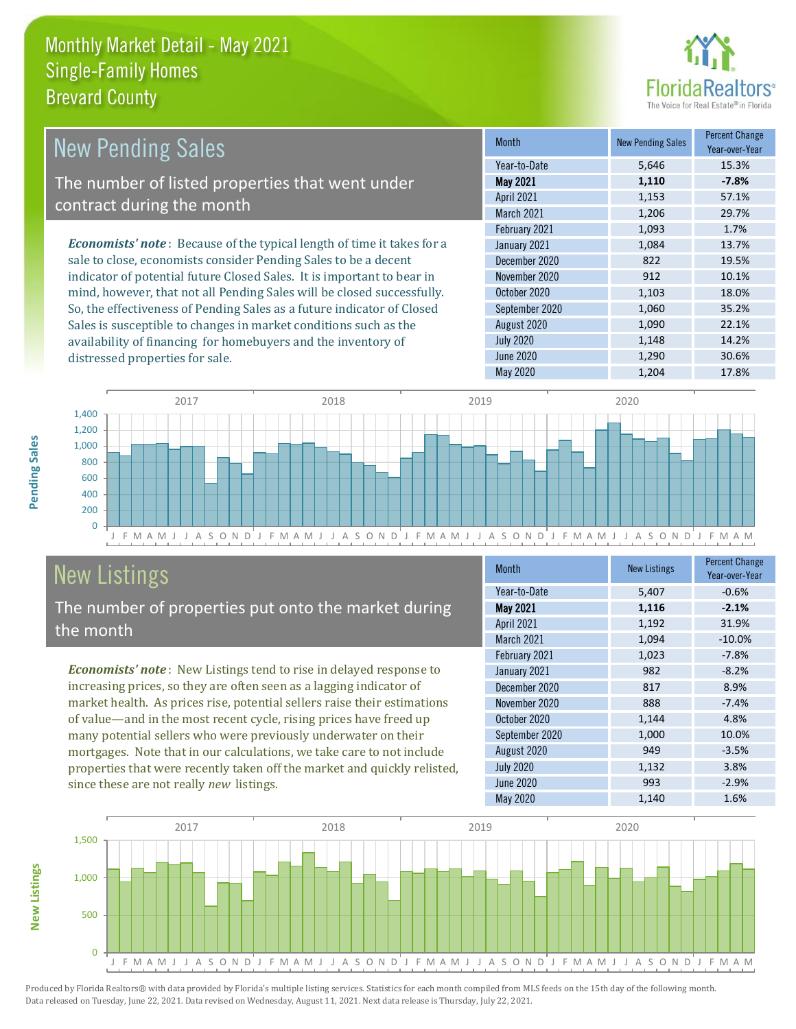distressed properties for sale.



| <b>New Pending Sales</b>                                                       | <b>Month</b>      | <b>New Pending Sales</b> | <b>Percent Change</b><br>Year-over-Year |
|--------------------------------------------------------------------------------|-------------------|--------------------------|-----------------------------------------|
|                                                                                | Year-to-Date      | 5,646                    | 15.3%                                   |
| The number of listed properties that went under                                | <b>May 2021</b>   | 1,110                    | $-7.8%$                                 |
| contract during the month                                                      | <b>April 2021</b> | 1,153                    | 57.1%                                   |
|                                                                                | <b>March 2021</b> | 1,206                    | 29.7%                                   |
|                                                                                | February 2021     | 1,093                    | 1.7%                                    |
| <b>Economists' note</b> : Because of the typical length of time it takes for a | January 2021      | 1,084                    | 13.7%                                   |
| sale to close, economists consider Pending Sales to be a decent                | December 2020     | 822                      | 19.5%                                   |
| indicator of potential future Closed Sales. It is important to bear in         | November 2020     | 912                      | 10.1%                                   |
| mind, however, that not all Pending Sales will be closed successfully.         | October 2020      | 1,103                    | 18.0%                                   |
| So, the effectiveness of Pending Sales as a future indicator of Closed         | September 2020    | 1,060                    | 35.2%                                   |
| Sales is susceptible to changes in market conditions such as the               | August 2020       | 1,090                    | 22.1%                                   |



# New Listings

**New Listings**

**Pending Sales**

Pending Sales

The number of properties put onto the market during the month

availability of financing for homebuyers and the inventory of

*Economists' note* : New Listings tend to rise in delayed response to increasing prices, so they are often seen as a lagging indicator of market health. As prices rise, potential sellers raise their estimations of value—and in the most recent cycle, rising prices have freed up many potential sellers who were previously underwater on their mortgages. Note that in our calculations, we take care to not include properties that were recently taken off the market and quickly relisted, since these are not really *new* listings.

| <b>Month</b>      | <b>New Listings</b> | <b>Percent Change</b><br>Year-over-Year |
|-------------------|---------------------|-----------------------------------------|
| Year-to-Date      | 5,407               | $-0.6%$                                 |
| <b>May 2021</b>   | 1,116               | $-2.1%$                                 |
| <b>April 2021</b> | 1,192               | 31.9%                                   |
| <b>March 2021</b> | 1,094               | $-10.0%$                                |
| February 2021     | 1,023               | $-7.8%$                                 |
| January 2021      | 982                 | $-8.2%$                                 |
| December 2020     | 817                 | 8.9%                                    |
| November 2020     | 888                 | $-7.4%$                                 |
| October 2020      | 1,144               | 4.8%                                    |
| September 2020    | 1,000               | 10.0%                                   |
| August 2020       | 949                 | $-3.5%$                                 |
| <b>July 2020</b>  | 1,132               | 3.8%                                    |
| June 2020         | 993                 | $-2.9%$                                 |
| <b>May 2020</b>   | 1,140               | 1.6%                                    |

July 2020 **1,148** 14.2% June 2020 **1,290 30.6%** May 2020 1,204 17.8%

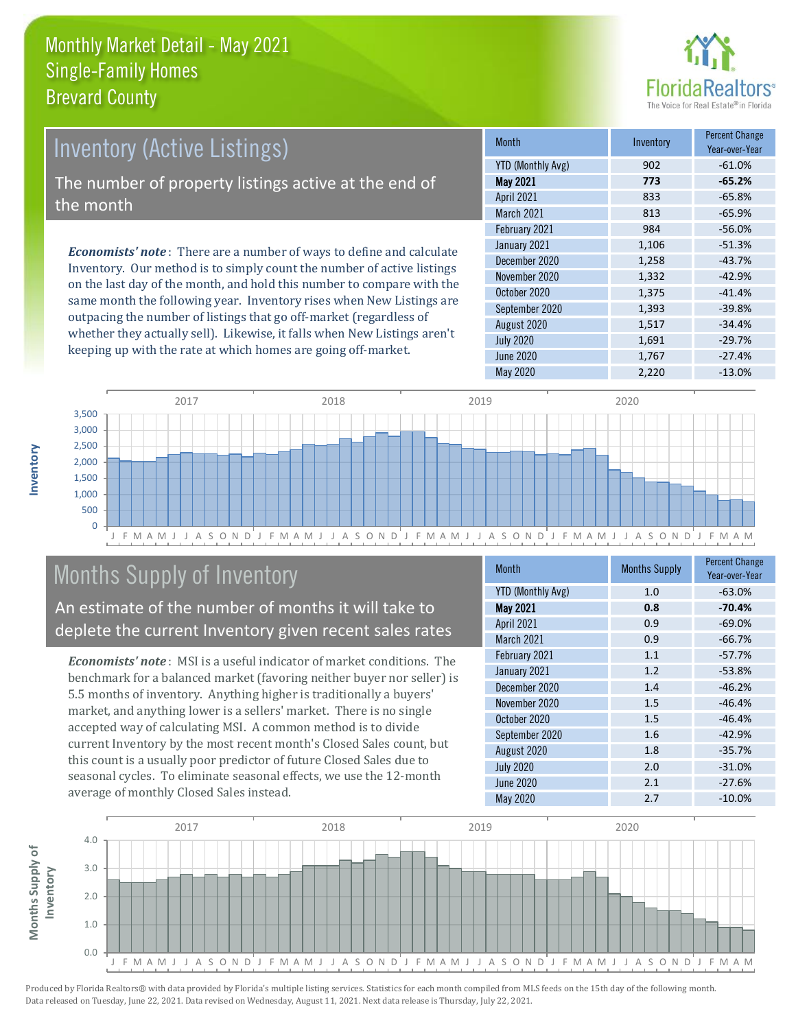

# Inventory (Active Listings)

The number of property listings active at the end of the month

*Economists' note* : There are a number of ways to define and calculate Inventory. Our method is to simply count the number of active listings on the last day of the month, and hold this number to compare with the same month the following year. Inventory rises when New Listings are outpacing the number of listings that go off-market (regardless of whether they actually sell). Likewise, it falls when New Listings aren't keeping up with the rate at which homes are going off-market.

| <b>Month</b>             | Inventory | <b>Percent Change</b><br>Year-over-Year |
|--------------------------|-----------|-----------------------------------------|
| <b>YTD (Monthly Avg)</b> | 902       | $-61.0%$                                |
| <b>May 2021</b>          | 773       | $-65.2%$                                |
| April 2021               | 833       | $-65.8%$                                |
| <b>March 2021</b>        | 813       | $-65.9%$                                |
| February 2021            | 984       | $-56.0%$                                |
| January 2021             | 1,106     | $-51.3%$                                |
| December 2020            | 1,258     | $-43.7%$                                |
| November 2020            | 1,332     | $-42.9%$                                |
| October 2020             | 1,375     | $-41.4%$                                |
| September 2020           | 1,393     | $-39.8%$                                |
| August 2020              | 1,517     | $-34.4%$                                |
| <b>July 2020</b>         | 1,691     | $-29.7%$                                |
| <b>June 2020</b>         | 1,767     | $-27.4%$                                |
| May 2020                 | 2,220     | $-13.0%$                                |



# Months Supply of Inventory

An estimate of the number of months it will take to deplete the current Inventory given recent sales rates

*Economists' note* : MSI is a useful indicator of market conditions. The benchmark for a balanced market (favoring neither buyer nor seller) is 5.5 months of inventory. Anything higher is traditionally a buyers' market, and anything lower is a sellers' market. There is no single accepted way of calculating MSI. A common method is to divide current Inventory by the most recent month's Closed Sales count, but this count is a usually poor predictor of future Closed Sales due to seasonal cycles. To eliminate seasonal effects, we use the 12-month average of monthly Closed Sales instead.

| Month                    | <b>Months Supply</b> | <b>Percent Change</b><br>Year-over-Year |
|--------------------------|----------------------|-----------------------------------------|
| <b>YTD (Monthly Avg)</b> | 1.0                  | $-63.0%$                                |
| <b>May 2021</b>          | 0.8                  | $-70.4%$                                |
| April 2021               | 0.9                  | $-69.0%$                                |
| <b>March 2021</b>        | 0.9                  | $-66.7%$                                |
| February 2021            | 1.1                  | $-57.7%$                                |
| January 2021             | 1.2                  | $-53.8%$                                |
| December 2020            | 1.4                  | $-46.2%$                                |
| November 2020            | 1.5                  | $-46.4%$                                |
| October 2020             | 1.5                  | $-46.4%$                                |
| September 2020           | 1.6                  | $-42.9%$                                |
| August 2020              | 1.8                  | $-35.7%$                                |
| <b>July 2020</b>         | 2.0                  | $-31.0%$                                |
| June 2020                | 2.1                  | $-27.6%$                                |
| <b>May 2020</b>          | 2.7                  | $-10.0%$                                |

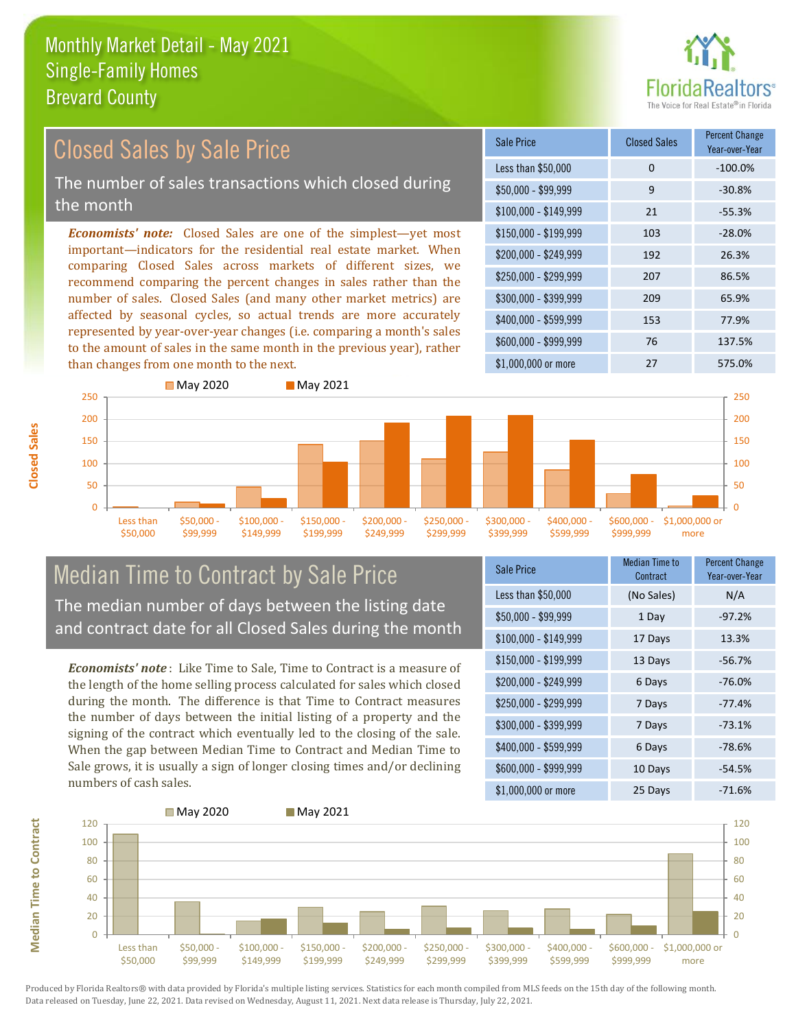

#### *Economists' note:* Closed Sales are one of the simplest—yet most important—indicators for the residential real estate market. When comparing Closed Sales across markets of different sizes, we recommend comparing the percent changes in sales rather than the number of sales. Closed Sales (and many other market metrics) are affected by seasonal cycles, so actual trends are more accurately represented by year-over-year changes (i.e. comparing a month's sales to the amount of sales in the same month in the previous year), rather than changes from one month to the next. \$1,000,000 or more 27 575.0% \$250,000 - \$299,999 207 86.5% \$300,000 - \$399,999 209 65.9% \$400,000 - \$599,999 153 77.9% \$600,000 - \$999,999 76 137.5% \$150,000 - \$199,999 103 -28.0% \$200,000 - \$249,999 192 26.3%  $$100,000 - $149,999$  21 -55.3% Sale Price Closed Sales Percent Change Year-over-Year Less than \$50,000 0 0 -100.0%  $$50.000 - $99.999$  9 -30.8% 150 200 250 **May 2020** May 2021 150 200 250 Closed Sales by Sale Price The number of sales transactions which closed during the month

#### Median Time to Contract by Sale Price The median number of days between the listing date and contract date for all Closed Sales during the month

\$100,000 \$149,999 \$150,000 - \$199,999

\$200,000 - \$249,999 \$250,000 - \$299,999

\$300,000 - \$399,999

\$400,000 - \$599,999

\$50,000 - \$99,999

*Economists' note* : Like Time to Sale, Time to Contract is a measure of the length of the home selling process calculated for sales which closed during the month. The difference is that Time to Contract measures the number of days between the initial listing of a property and the signing of the contract which eventually led to the closing of the sale. When the gap between Median Time to Contract and Median Time to Sale grows, it is usually a sign of longer closing times and/or declining numbers of cash sales.

| <b>Sale Price</b>     | <b>Median Time to</b><br>Contract | <b>Percent Change</b><br>Year-over-Year |
|-----------------------|-----------------------------------|-----------------------------------------|
| Less than \$50,000    | (No Sales)                        | N/A                                     |
| $$50,000 - $99,999$   | 1 Day                             | $-97.2%$                                |
| $$100,000 - $149,999$ | 17 Days                           | 13.3%                                   |
| $$150,000 - $199,999$ | 13 Days                           | $-56.7%$                                |
| \$200,000 - \$249,999 | 6 Days                            | $-76.0%$                                |
| \$250,000 - \$299,999 | 7 Days                            | $-77.4%$                                |
| \$300,000 - \$399,999 | 7 Days                            | $-73.1%$                                |
| \$400,000 - \$599,999 | 6 Days                            | $-78.6%$                                |
| \$600,000 - \$999,999 | 10 Days                           | $-54.5%$                                |
| \$1,000,000 or more   | 25 Days                           | $-71.6%$                                |

\$600,000 - \$999,999

\$1,000,000 or more

 $\Omega$ 50 100



 $\Omega$ 50 100 Less than \$50,000

**Closed Sales**

**Median Time to Contract Median Time to Contract**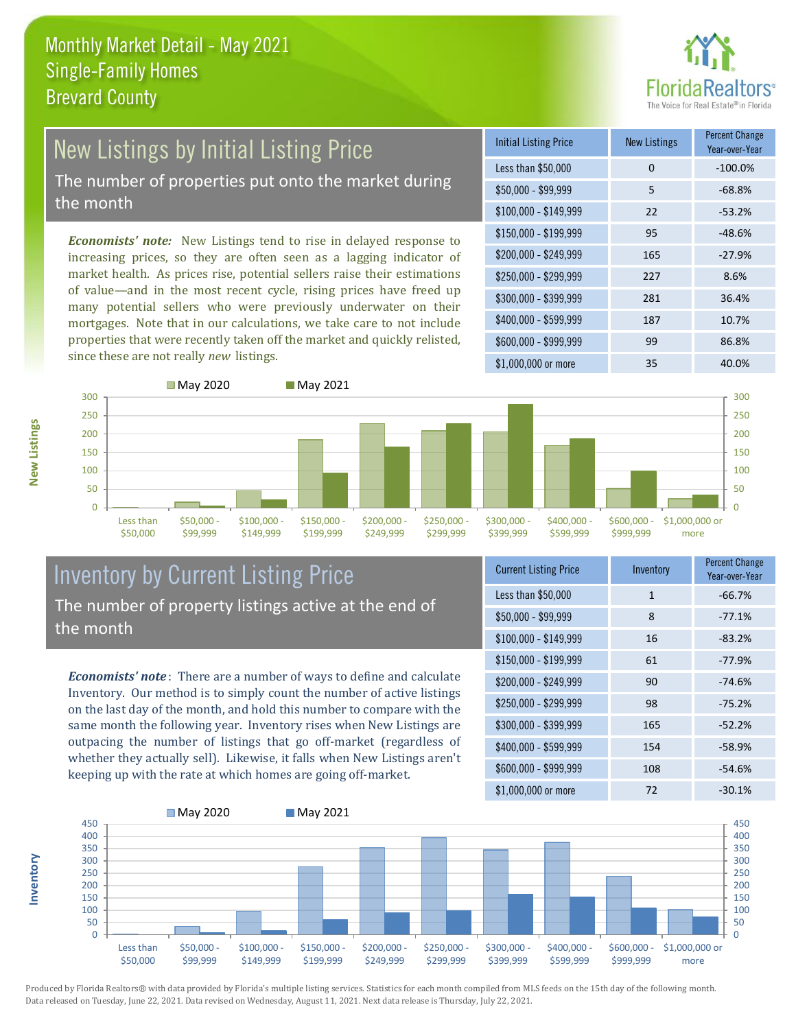

# New Listings by Initial Listing Price

The number of properties put onto the market during the month

*Economists' note:* New Listings tend to rise in delayed response to increasing prices, so they are often seen as a lagging indicator of market health. As prices rise, potential sellers raise their estimations of value—and in the most recent cycle, rising prices have freed up many potential sellers who were previously underwater on their mortgages. Note that in our calculations, we take care to not include properties that were recently taken off the market and quickly relisted, since these are not really *new* listings.

| <b>Initial Listing Price</b> | <b>New Listings</b> | <b>Percent Change</b><br>Year-over-Year |
|------------------------------|---------------------|-----------------------------------------|
| Less than \$50,000           | 0                   | $-100.0%$                               |
| $$50,000 - $99,999$          | 5                   | $-68.8%$                                |
| $$100,000 - $149,999$        | 22                  | $-53.2%$                                |
| $$150,000 - $199,999$        | 95                  | $-48.6%$                                |
| \$200,000 - \$249,999        | 165                 | $-27.9%$                                |
| \$250,000 - \$299,999        | 227                 | 8.6%                                    |
| \$300,000 - \$399,999        | 281                 | 36.4%                                   |
| \$400,000 - \$599,999        | 187                 | 10.7%                                   |
| \$600,000 - \$999,999        | 99                  | 86.8%                                   |
| \$1,000,000 or more          | 35                  | 40.0%                                   |



#### Inventory by Current Listing Price The number of property listings active at the end of the month

*Economists' note* : There are a number of ways to define and calculate Inventory. Our method is to simply count the number of active listings on the last day of the month, and hold this number to compare with the same month the following year. Inventory rises when New Listings are outpacing the number of listings that go off-market (regardless of whether they actually sell). Likewise, it falls when New Listings aren't keeping up with the rate at which homes are going off-market.

| <b>Current Listing Price</b> | Inventory | <b>Percent Change</b><br>Year-over-Year |
|------------------------------|-----------|-----------------------------------------|
| Less than \$50,000           | 1         | $-66.7%$                                |
| $$50,000 - $99,999$          | 8         | $-77.1%$                                |
| $$100,000 - $149,999$        | 16        | $-83.2%$                                |
| $$150,000 - $199,999$        | 61        | $-77.9%$                                |
| \$200,000 - \$249,999        | 90        | $-74.6%$                                |
| \$250,000 - \$299,999        | 98        | $-75.2%$                                |
| \$300,000 - \$399,999        | 165       | $-52.2%$                                |
| \$400,000 - \$599,999        | 154       | $-58.9%$                                |
| \$600,000 - \$999,999        | 108       | $-54.6%$                                |
| \$1,000,000 or more          | 72        | $-30.1%$                                |



Produced by Florida Realtors® with data provided by Florida's multiple listing services. Statistics for each month compiled from MLS feeds on the 15th day of the following month. Data released on Tuesday, June 22, 2021. Data revised on Wednesday, August 11, 2021. Next data release is Thursday, July 22, 2021.

**Inventory**